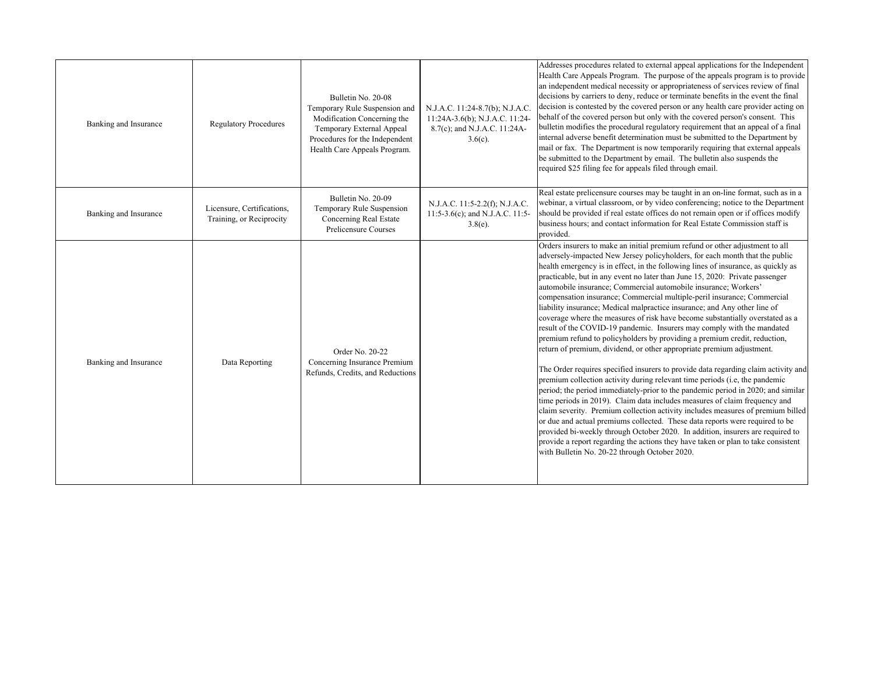| Banking and Insurance | <b>Regulatory Procedures</b>                           | Bulletin No. 20-08<br>Temporary Rule Suspension and<br>Modification Concerning the<br>Temporary External Appeal<br>Procedures for the Independent<br>Health Care Appeals Program. | N.J.A.C. 11:24-8.7(b); N.J.A.C.<br>11:24A-3.6(b); N.J.A.C. 11:24-<br>8.7(c); and N.J.A.C. 11:24A-<br>$3.6(c)$ . | Addresses procedures related to external appeal applications for the Independent<br>Health Care Appeals Program. The purpose of the appeals program is to provide<br>an independent medical necessity or appropriateness of services review of final<br>decisions by carriers to deny, reduce or terminate benefits in the event the final<br>decision is contested by the covered person or any health care provider acting on<br>behalf of the covered person but only with the covered person's consent. This<br>bulletin modifies the procedural regulatory requirement that an appeal of a final<br>internal adverse benefit determination must be submitted to the Department by<br>mail or fax. The Department is now temporarily requiring that external appeals<br>be submitted to the Department by email. The bulletin also suspends the<br>required \$25 filing fee for appeals filed through email.                                                                                                                                                                                                                                                                                                                                                                                                                                                                                                                                                                                                                                                                                               |
|-----------------------|--------------------------------------------------------|-----------------------------------------------------------------------------------------------------------------------------------------------------------------------------------|-----------------------------------------------------------------------------------------------------------------|----------------------------------------------------------------------------------------------------------------------------------------------------------------------------------------------------------------------------------------------------------------------------------------------------------------------------------------------------------------------------------------------------------------------------------------------------------------------------------------------------------------------------------------------------------------------------------------------------------------------------------------------------------------------------------------------------------------------------------------------------------------------------------------------------------------------------------------------------------------------------------------------------------------------------------------------------------------------------------------------------------------------------------------------------------------------------------------------------------------------------------------------------------------------------------------------------------------------------------------------------------------------------------------------------------------------------------------------------------------------------------------------------------------------------------------------------------------------------------------------------------------------------------------------------------------------------------------------------------------|
| Banking and Insurance | Licensure, Certifications,<br>Training, or Reciprocity | Bulletin No. 20-09<br>Temporary Rule Suspension<br>Concerning Real Estate<br>Prelicensure Courses                                                                                 | N.J.A.C. 11:5-2.2(f); N.J.A.C.<br>11:5-3.6(c); and N.J.A.C. 11:5-<br>$3.8(e)$ .                                 | Real estate prelicensure courses may be taught in an on-line format, such as in a<br>webinar, a virtual classroom, or by video conferencing; notice to the Department<br>should be provided if real estate offices do not remain open or if offices modify<br>business hours; and contact information for Real Estate Commission staff is<br>provided.                                                                                                                                                                                                                                                                                                                                                                                                                                                                                                                                                                                                                                                                                                                                                                                                                                                                                                                                                                                                                                                                                                                                                                                                                                                         |
| Banking and Insurance | Data Reporting                                         | Order No. 20-22<br>Concerning Insurance Premium<br>Refunds, Credits, and Reductions                                                                                               |                                                                                                                 | Orders insurers to make an initial premium refund or other adjustment to all<br>adversely-impacted New Jersey policyholders, for each month that the public<br>health emergency is in effect, in the following lines of insurance, as quickly as<br>practicable, but in any event no later than June 15, 2020: Private passenger<br>automobile insurance; Commercial automobile insurance; Workers'<br>compensation insurance; Commercial multiple-peril insurance; Commercial<br>liability insurance; Medical malpractice insurance; and Any other line of<br>coverage where the measures of risk have become substantially overstated as a<br>result of the COVID-19 pandemic. Insurers may comply with the mandated<br>premium refund to policyholders by providing a premium credit, reduction,<br>return of premium, dividend, or other appropriate premium adjustment.<br>The Order requires specified insurers to provide data regarding claim activity and<br>premium collection activity during relevant time periods (i.e, the pandemic<br>period; the period immediately-prior to the pandemic period in 2020; and similar<br>time periods in 2019). Claim data includes measures of claim frequency and<br>claim severity. Premium collection activity includes measures of premium billed<br>or due and actual premiums collected. These data reports were required to be<br>provided bi-weekly through October 2020. In addition, insurers are required to<br>provide a report regarding the actions they have taken or plan to take consistent<br>with Bulletin No. 20-22 through October 2020. |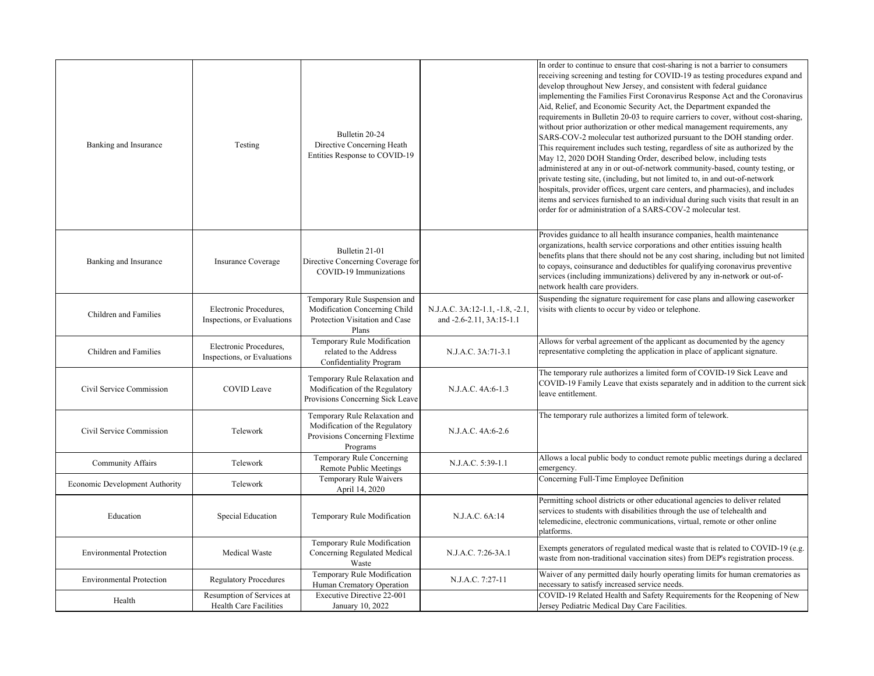| Banking and Insurance           | Testing                                               | Bulletin 20-24<br>Directive Concerning Heath<br>Entities Response to COVID-19                                 |                                                             | In order to continue to ensure that cost-sharing is not a barrier to consumers<br>receiving screening and testing for COVID-19 as testing procedures expand and<br>develop throughout New Jersey, and consistent with federal guidance<br>implementing the Families First Coronavirus Response Act and the Coronavirus<br>Aid, Relief, and Economic Security Act, the Department expanded the<br>requirements in Bulletin 20-03 to require carriers to cover, without cost-sharing,<br>without prior authorization or other medical management requirements, any<br>SARS-COV-2 molecular test authorized pursuant to the DOH standing order.<br>This requirement includes such testing, regardless of site as authorized by the<br>May 12, 2020 DOH Standing Order, described below, including tests<br>administered at any in or out-of-network community-based, county testing, or<br>private testing site, (including, but not limited to, in and out-of-network<br>hospitals, provider offices, urgent care centers, and pharmacies), and includes<br>items and services furnished to an individual during such visits that result in an<br>order for or administration of a SARS-COV-2 molecular test. |
|---------------------------------|-------------------------------------------------------|---------------------------------------------------------------------------------------------------------------|-------------------------------------------------------------|-------------------------------------------------------------------------------------------------------------------------------------------------------------------------------------------------------------------------------------------------------------------------------------------------------------------------------------------------------------------------------------------------------------------------------------------------------------------------------------------------------------------------------------------------------------------------------------------------------------------------------------------------------------------------------------------------------------------------------------------------------------------------------------------------------------------------------------------------------------------------------------------------------------------------------------------------------------------------------------------------------------------------------------------------------------------------------------------------------------------------------------------------------------------------------------------------------------|
| Banking and Insurance           | <b>Insurance Coverage</b>                             | Bulletin 21-01<br>Directive Concerning Coverage for<br>COVID-19 Immunizations                                 |                                                             | Provides guidance to all health insurance companies, health maintenance<br>organizations, health service corporations and other entities issuing health<br>benefits plans that there should not be any cost sharing, including but not limited<br>to copays, coinsurance and deductibles for qualifying coronavirus preventive<br>services (including immunizations) delivered by any in-network or out-of-<br>network health care providers.                                                                                                                                                                                                                                                                                                                                                                                                                                                                                                                                                                                                                                                                                                                                                               |
| Children and Families           | Electronic Procedures,<br>Inspections, or Evaluations | Temporary Rule Suspension and<br>Modification Concerning Child<br>Protection Visitation and Case<br>Plans     | N.J.A.C. 3A:12-1.1, -1.8, -2.1,<br>and -2.6-2.11, 3A:15-1.1 | Suspending the signature requirement for case plans and allowing caseworker<br>visits with clients to occur by video or telephone.                                                                                                                                                                                                                                                                                                                                                                                                                                                                                                                                                                                                                                                                                                                                                                                                                                                                                                                                                                                                                                                                          |
| Children and Families           | Electronic Procedures,<br>Inspections, or Evaluations | Temporary Rule Modification<br>related to the Address<br>Confidentiality Program                              | N.J.A.C. 3A:71-3.1                                          | Allows for verbal agreement of the applicant as documented by the agency<br>representative completing the application in place of applicant signature.                                                                                                                                                                                                                                                                                                                                                                                                                                                                                                                                                                                                                                                                                                                                                                                                                                                                                                                                                                                                                                                      |
| Civil Service Commission        | <b>COVID</b> Leave                                    | Temporary Rule Relaxation and<br>Modification of the Regulatory<br>Provisions Concerning Sick Leave           | N.J.A.C. 4A:6-1.3                                           | The temporary rule authorizes a limited form of COVID-19 Sick Leave and<br>COVID-19 Family Leave that exists separately and in addition to the current sick<br>leave entitlement.                                                                                                                                                                                                                                                                                                                                                                                                                                                                                                                                                                                                                                                                                                                                                                                                                                                                                                                                                                                                                           |
| Civil Service Commission        | Telework                                              | Temporary Rule Relaxation and<br>Modification of the Regulatory<br>Provisions Concerning Flextime<br>Programs | N.J.A.C. 4A:6-2.6                                           | The temporary rule authorizes a limited form of telework.                                                                                                                                                                                                                                                                                                                                                                                                                                                                                                                                                                                                                                                                                                                                                                                                                                                                                                                                                                                                                                                                                                                                                   |
| Community Affairs               | Telework                                              | Temporary Rule Concerning<br>Remote Public Meetings                                                           | N.J.A.C. 5:39-1.1                                           | Allows a local public body to conduct remote public meetings during a declared<br>emergency.                                                                                                                                                                                                                                                                                                                                                                                                                                                                                                                                                                                                                                                                                                                                                                                                                                                                                                                                                                                                                                                                                                                |
| Economic Development Authority  | Telework                                              | Temporary Rule Waivers<br>April 14, 2020                                                                      |                                                             | Concerning Full-Time Employee Definition                                                                                                                                                                                                                                                                                                                                                                                                                                                                                                                                                                                                                                                                                                                                                                                                                                                                                                                                                                                                                                                                                                                                                                    |
| Education                       | Special Education                                     | Temporary Rule Modification                                                                                   | N.J.A.C. 6A:14                                              | Permitting school districts or other educational agencies to deliver related<br>services to students with disabilities through the use of telehealth and<br>telemedicine, electronic communications, virtual, remote or other online<br>platforms.                                                                                                                                                                                                                                                                                                                                                                                                                                                                                                                                                                                                                                                                                                                                                                                                                                                                                                                                                          |
| <b>Environmental Protection</b> | Medical Waste                                         | Temporary Rule Modification<br>Concerning Regulated Medical<br>Waste                                          | N.J.A.C. 7:26-3A.1                                          | Exempts generators of regulated medical waste that is related to COVID-19 (e.g.<br>waste from non-traditional vaccination sites) from DEP's registration process.                                                                                                                                                                                                                                                                                                                                                                                                                                                                                                                                                                                                                                                                                                                                                                                                                                                                                                                                                                                                                                           |
| <b>Environmental Protection</b> | <b>Regulatory Procedures</b>                          | Temporary Rule Modification<br>Human Crematory Operation                                                      | N.J.A.C. 7:27-11                                            | Waiver of any permitted daily hourly operating limits for human crematories as<br>necessary to satisfy increased service needs.                                                                                                                                                                                                                                                                                                                                                                                                                                                                                                                                                                                                                                                                                                                                                                                                                                                                                                                                                                                                                                                                             |
| Health                          | Resumption of Services at<br>Health Care Facilities   | Executive Directive 22-001<br>January 10, 2022                                                                |                                                             | COVID-19 Related Health and Safety Requirements for the Reopening of New<br>Jersey Pediatric Medical Day Care Facilities.                                                                                                                                                                                                                                                                                                                                                                                                                                                                                                                                                                                                                                                                                                                                                                                                                                                                                                                                                                                                                                                                                   |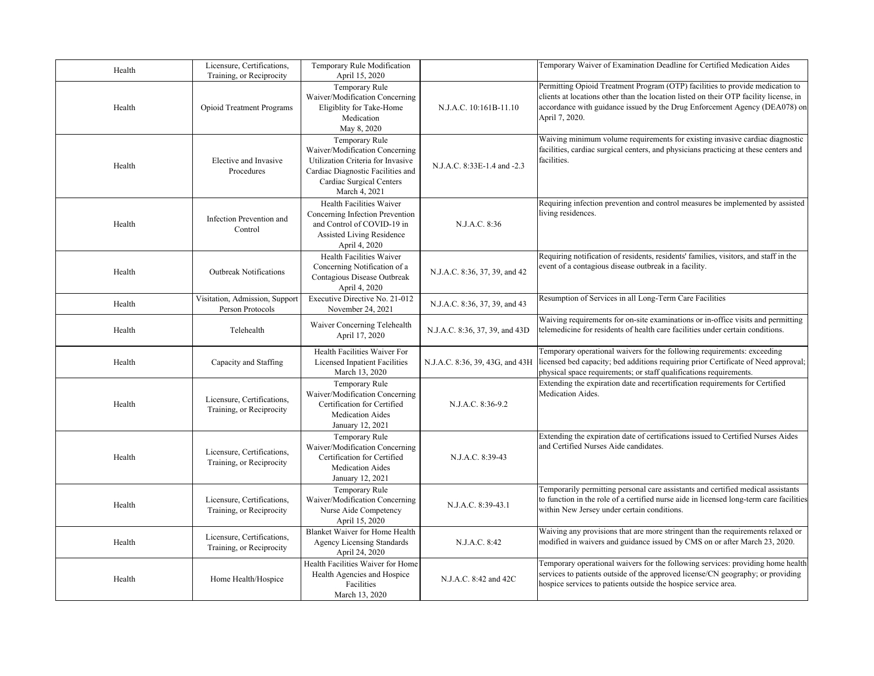| Health | Licensure, Certifications,<br>Training, or Reciprocity | Temporary Rule Modification<br>April 15, 2020                                                                                                                           |                                 | Temporary Waiver of Examination Deadline for Certified Medication Aides                                                                                                                                                                                                |
|--------|--------------------------------------------------------|-------------------------------------------------------------------------------------------------------------------------------------------------------------------------|---------------------------------|------------------------------------------------------------------------------------------------------------------------------------------------------------------------------------------------------------------------------------------------------------------------|
| Health | <b>Opioid Treatment Programs</b>                       | Temporary Rule<br>Waiver/Modification Concerning<br>Eligiblity for Take-Home<br>Medication<br>May 8, 2020                                                               | N.J.A.C. 10:161B-11.10          | Permitting Opioid Treatment Program (OTP) facilities to provide medication to<br>clients at locations other than the location listed on their OTP facility license, in<br>accordance with guidance issued by the Drug Enforcement Agency (DEA078) on<br>April 7, 2020. |
| Health | Elective and Invasive<br>Procedures                    | Temporary Rule<br>Waiver/Modification Concerning<br>Utilization Criteria for Invasive<br>Cardiac Diagnostic Facilities and<br>Cardiac Surgical Centers<br>March 4, 2021 | N.J.A.C. 8:33E-1.4 and -2.3     | Waiving minimum volume requirements for existing invasive cardiac diagnostic<br>facilities, cardiac surgical centers, and physicians practicing at these centers and<br>facilities.                                                                                    |
| Health | Infection Prevention and<br>Control                    | Health Facilities Waiver<br>Concerning Infection Prevention<br>and Control of COVID-19 in<br>Assisted Living Residence<br>April 4, 2020                                 | N.J.A.C. 8:36                   | Requiring infection prevention and control measures be implemented by assisted<br>living residences.                                                                                                                                                                   |
| Health | <b>Outbreak Notifications</b>                          | Health Facilities Waiver<br>Concerning Notification of a<br>Contagious Disease Outbreak<br>April 4, 2020                                                                | N.J.A.C. 8:36, 37, 39, and 42   | Requiring notification of residents, residents' families, visitors, and staff in the<br>event of a contagious disease outbreak in a facility.                                                                                                                          |
| Health | Visitation, Admission, Support<br>Person Protocols     | Executive Directive No. 21-012<br>November 24, 2021                                                                                                                     | N.J.A.C. 8:36, 37, 39, and 43   | Resumption of Services in all Long-Term Care Facilities                                                                                                                                                                                                                |
| Health | Telehealth                                             | Waiver Concerning Telehealth<br>April 17, 2020                                                                                                                          | N.J.A.C. 8:36, 37, 39, and 43D  | Waiving requirements for on-site examinations or in-office visits and permitting<br>telemedicine for residents of health care facilities under certain conditions.                                                                                                     |
| Health | Capacity and Staffing                                  | Health Facilities Waiver For<br>Licensed Inpatient Facilities<br>March 13, 2020                                                                                         | N.J.A.C. 8:36, 39, 43G, and 43H | Temporary operational waivers for the following requirements: exceeding<br>licensed bed capacity; bed additions requiring prior Certificate of Need approval;<br>physical space requirements; or staff qualifications requirements.                                    |
| Health | Licensure, Certifications,<br>Training, or Reciprocity | Temporary Rule<br>Waiver/Modification Concerning<br>Certification for Certified<br><b>Medication Aides</b><br>January 12, 2021                                          | N.J.A.C. 8:36-9.2               | Extending the expiration date and recertification requirements for Certified<br>Medication Aides.                                                                                                                                                                      |
| Health | Licensure, Certifications,<br>Training, or Reciprocity | Temporary Rule<br>Waiver/Modification Concerning<br>Certification for Certified<br><b>Medication Aides</b><br>January 12, 2021                                          | N.J.A.C. 8:39-43                | Extending the expiration date of certifications issued to Certified Nurses Aides<br>and Certified Nurses Aide candidates.                                                                                                                                              |
| Health | Licensure, Certifications,<br>Training, or Reciprocity | Temporary Rule<br>Waiver/Modification Concerning<br>Nurse Aide Competency<br>April 15, 2020                                                                             | N.J.A.C. 8:39-43.1              | Temporarily permitting personal care assistants and certified medical assistants<br>to function in the role of a certified nurse aide in licensed long-term care facilities<br>within New Jersey under certain conditions.                                             |
| Health | Licensure, Certifications,<br>Training, or Reciprocity | Blanket Waiver for Home Health<br>Agency Licensing Standards<br>April 24, 2020                                                                                          | N.J.A.C. 8:42                   | Waiving any provisions that are more stringent than the requirements relaxed or<br>modified in waivers and guidance issued by CMS on or after March 23, 2020.                                                                                                          |
| Health | Home Health/Hospice                                    | Health Facilities Waiver for Home<br>Health Agencies and Hospice<br>Facilities<br>March 13, 2020                                                                        | N.J.A.C. 8:42 and 42C           | Temporary operational waivers for the following services: providing home health<br>services to patients outside of the approved license/CN geography; or providing<br>hospice services to patients outside the hospice service area.                                   |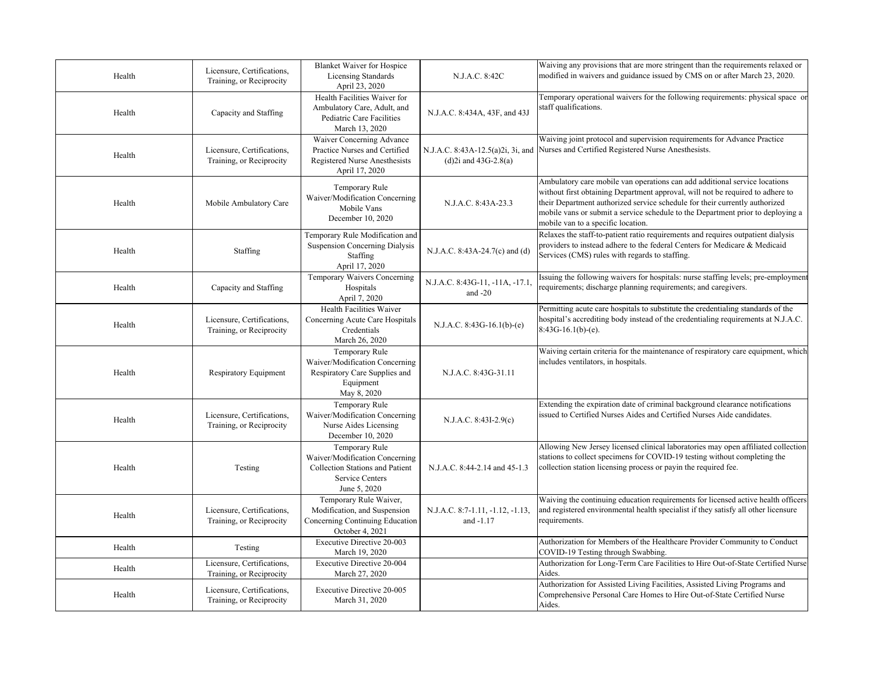| Health | Licensure, Certifications,<br>Training, or Reciprocity | <b>Blanket Waiver for Hospice</b><br>Licensing Standards<br>April 23, 2020                                             | N.J.A.C. 8:42C                                               | Waiving any provisions that are more stringent than the requirements relaxed or<br>modified in waivers and guidance issued by CMS on or after March 23, 2020.                                                                                                                                                                                                        |
|--------|--------------------------------------------------------|------------------------------------------------------------------------------------------------------------------------|--------------------------------------------------------------|----------------------------------------------------------------------------------------------------------------------------------------------------------------------------------------------------------------------------------------------------------------------------------------------------------------------------------------------------------------------|
| Health | Capacity and Staffing                                  | Health Facilities Waiver for<br>Ambulatory Care, Adult, and<br>Pediatric Care Facilities<br>March 13, 2020             | N.J.A.C. 8:434A, 43F, and 43J                                | Temporary operational waivers for the following requirements: physical space or<br>staff qualifications.                                                                                                                                                                                                                                                             |
| Health | Licensure, Certifications,<br>Training, or Reciprocity | Waiver Concerning Advance<br>Practice Nurses and Certified<br>Registered Nurse Anesthesists<br>April 17, 2020          | N.J.A.C. 8:43A-12.5(a)2i, 3i, and<br>$(d)$ 2i and 43G-2.8(a) | Waiving joint protocol and supervision requirements for Advance Practice<br>Nurses and Certified Registered Nurse Anesthesists.                                                                                                                                                                                                                                      |
| Health | Mobile Ambulatory Care                                 | Temporary Rule<br>Waiver/Modification Concerning<br>Mobile Vans<br>December 10, 2020                                   | N.J.A.C. 8:43A-23.3                                          | Ambulatory care mobile van operations can add additional service locations<br>without first obtaining Department approval, will not be required to adhere to<br>their Department authorized service schedule for their currently authorized<br>mobile vans or submit a service schedule to the Department prior to deploying a<br>mobile van to a specific location. |
| Health | Staffing                                               | Temporary Rule Modification and<br><b>Suspension Concerning Dialysis</b><br>Staffing<br>April 17, 2020                 | N.J.A.C. 8:43A-24.7(c) and (d)                               | Relaxes the staff-to-patient ratio requirements and requires outpatient dialysis<br>providers to instead adhere to the federal Centers for Medicare & Medicaid<br>Services (CMS) rules with regards to staffing.                                                                                                                                                     |
| Health | Capacity and Staffing                                  | Temporary Waivers Concerning<br>Hospitals<br>April 7, 2020                                                             | N.J.A.C. 8:43G-11, -11A, -17.1.<br>and $-20$                 | Issuing the following waivers for hospitals: nurse staffing levels; pre-employment<br>requirements; discharge planning requirements; and caregivers.                                                                                                                                                                                                                 |
| Health | Licensure, Certifications,<br>Training, or Reciprocity | Health Facilities Waiver<br>Concerning Acute Care Hospitals<br>Credentials<br>March 26, 2020                           | $N.J.A.C. 8:43G-16.1(b)-(e)$                                 | Permitting acute care hospitals to substitute the credentialing standards of the<br>hospital's accrediting body instead of the credentialing requirements at N.J.A.C.<br>$8:43G-16.1(b)-(e)$ .                                                                                                                                                                       |
| Health | Respiratory Equipment                                  | Temporary Rule<br>Waiver/Modification Concerning<br>Respiratory Care Supplies and<br>Equipment<br>May 8, 2020          | N.J.A.C. 8:43G-31.11                                         | Waiving certain criteria for the maintenance of respiratory care equipment, which<br>includes ventilators, in hospitals.                                                                                                                                                                                                                                             |
| Health | Licensure, Certifications,<br>Training, or Reciprocity | Temporary Rule<br>Waiver/Modification Concerning<br>Nurse Aides Licensing<br>December 10, 2020                         | N.J.A.C. 8:43I-2.9(c)                                        | Extending the expiration date of criminal background clearance notifications<br>issued to Certified Nurses Aides and Certified Nurses Aide candidates.                                                                                                                                                                                                               |
| Health | Testing                                                | Temporary Rule<br>Waiver/Modification Concerning<br>Collection Stations and Patient<br>Service Centers<br>June 5, 2020 | N.J.A.C. 8:44-2.14 and 45-1.3                                | Allowing New Jersey licensed clinical laboratories may open affiliated collection<br>stations to collect specimens for COVID-19 testing without completing the<br>collection station licensing process or payin the required fee.                                                                                                                                    |
| Health | Licensure, Certifications,<br>Training, or Reciprocity | Temporary Rule Waiver,<br>Modification, and Suspension<br>Concerning Continuing Education<br>October 4, 2021           | N.J.A.C. 8:7-1.11, -1.12, -1.13,<br>and -1.17                | Waiving the continuing education requirements for licensed active health officers<br>and registered environmental health specialist if they satisfy all other licensure<br>requirements.                                                                                                                                                                             |
| Health | Testing                                                | <b>Executive Directive 20-003</b><br>March 19, 2020                                                                    |                                                              | Authorization for Members of the Healthcare Provider Community to Conduct<br>COVID-19 Testing through Swabbing.                                                                                                                                                                                                                                                      |
| Health | Licensure, Certifications,<br>Training, or Reciprocity | Executive Directive 20-004<br>March 27, 2020                                                                           |                                                              | Authorization for Long-Term Care Facilities to Hire Out-of-State Certified Nurse<br>Aides.                                                                                                                                                                                                                                                                           |
| Health | Licensure, Certifications,<br>Training, or Reciprocity | Executive Directive 20-005<br>March 31, 2020                                                                           |                                                              | Authorization for Assisted Living Facilities, Assisted Living Programs and<br>Comprehensive Personal Care Homes to Hire Out-of-State Certified Nurse<br>Aides.                                                                                                                                                                                                       |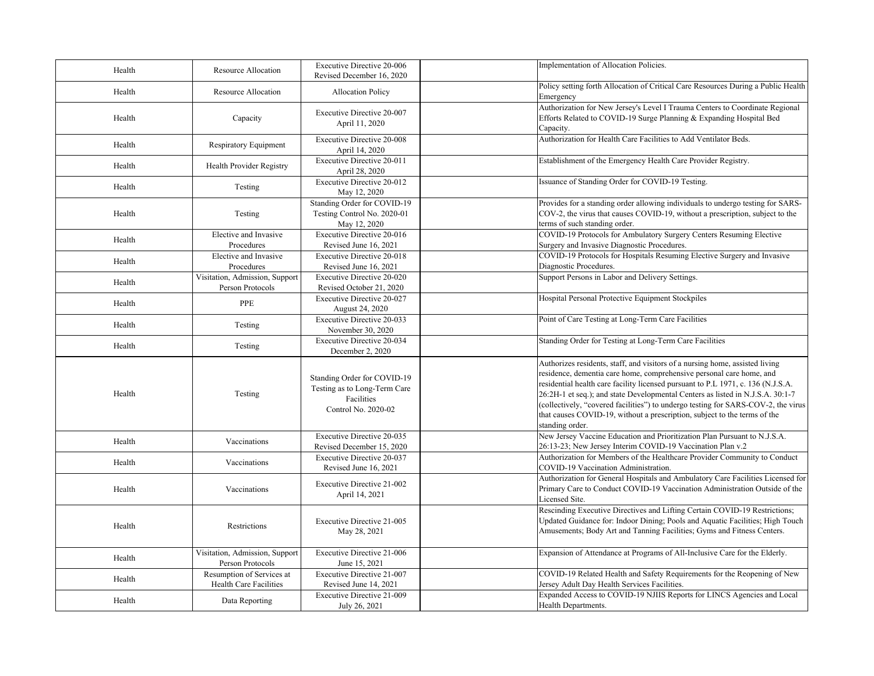| Health | Resource Allocation                                 | <b>Executive Directive 20-006</b><br>Revised December 16, 2020                                   | Implementation of Allocation Policies.                                                                                                                                                                                                                                                                                                                                                                                                                                                                          |
|--------|-----------------------------------------------------|--------------------------------------------------------------------------------------------------|-----------------------------------------------------------------------------------------------------------------------------------------------------------------------------------------------------------------------------------------------------------------------------------------------------------------------------------------------------------------------------------------------------------------------------------------------------------------------------------------------------------------|
| Health | Resource Allocation                                 | <b>Allocation Policy</b>                                                                         | Policy setting forth Allocation of Critical Care Resources During a Public Health<br>Emergency                                                                                                                                                                                                                                                                                                                                                                                                                  |
| Health | Capacity                                            | Executive Directive 20-007<br>April 11, 2020                                                     | Authorization for New Jersey's Level I Trauma Centers to Coordinate Regional<br>Efforts Related to COVID-19 Surge Planning & Expanding Hospital Bed<br>Capacity.                                                                                                                                                                                                                                                                                                                                                |
| Health | <b>Respiratory Equipment</b>                        | Executive Directive 20-008<br>April 14, 2020                                                     | Authorization for Health Care Facilities to Add Ventilator Beds.                                                                                                                                                                                                                                                                                                                                                                                                                                                |
| Health | Health Provider Registry                            | Executive Directive 20-011<br>April 28, 2020                                                     | Establishment of the Emergency Health Care Provider Registry.                                                                                                                                                                                                                                                                                                                                                                                                                                                   |
| Health | Testing                                             | Executive Directive 20-012<br>May 12, 2020                                                       | Issuance of Standing Order for COVID-19 Testing.                                                                                                                                                                                                                                                                                                                                                                                                                                                                |
| Health | Testing                                             | Standing Order for COVID-19<br>Testing Control No. 2020-01<br>May 12, 2020                       | Provides for a standing order allowing individuals to undergo testing for SARS-<br>COV-2, the virus that causes COVID-19, without a prescription, subject to the<br>terms of such standing order.                                                                                                                                                                                                                                                                                                               |
| Health | Elective and Invasive                               | Executive Directive 20-016                                                                       | COVID-19 Protocols for Ambulatory Surgery Centers Resuming Elective<br>Surgery and Invasive Diagnostic Procedures.                                                                                                                                                                                                                                                                                                                                                                                              |
| Health | Procedures<br>Elective and Invasive<br>Procedures   | Revised June 16, 2021<br><b>Executive Directive 20-018</b><br>Revised June 16, 2021              | COVID-19 Protocols for Hospitals Resuming Elective Surgery and Invasive<br>Diagnostic Procedures.                                                                                                                                                                                                                                                                                                                                                                                                               |
| Health | Visitation, Admission, Support<br>Person Protocols  | Executive Directive 20-020<br>Revised October 21, 2020                                           | Support Persons in Labor and Delivery Settings.                                                                                                                                                                                                                                                                                                                                                                                                                                                                 |
| Health | PPE                                                 | Executive Directive 20-027<br>August 24, 2020                                                    | Hospital Personal Protective Equipment Stockpiles                                                                                                                                                                                                                                                                                                                                                                                                                                                               |
| Health | Testing                                             | Executive Directive 20-033<br>November 30, 2020                                                  | Point of Care Testing at Long-Term Care Facilities                                                                                                                                                                                                                                                                                                                                                                                                                                                              |
| Health | Testing                                             | Executive Directive 20-034<br>December 2, 2020                                                   | Standing Order for Testing at Long-Term Care Facilities                                                                                                                                                                                                                                                                                                                                                                                                                                                         |
| Health | Testing                                             | Standing Order for COVID-19<br>Testing as to Long-Term Care<br>Facilities<br>Control No. 2020-02 | Authorizes residents, staff, and visitors of a nursing home, assisted living<br>residence, dementia care home, comprehensive personal care home, and<br>residential health care facility licensed pursuant to P.L 1971, c. 136 (N.J.S.A.<br>26:2H-1 et seq.); and state Developmental Centers as listed in N.J.S.A. 30:1-7<br>(collectively, "covered facilities") to undergo testing for SARS-COV-2, the virus<br>that causes COVID-19, without a prescription, subject to the terms of the<br>standing order. |
| Health | Vaccinations                                        | Executive Directive 20-035<br>Revised December 15, 2020                                          | New Jersey Vaccine Education and Prioritization Plan Pursuant to N.J.S.A.<br>26:13-23; New Jersey Interim COVID-19 Vaccination Plan v.2                                                                                                                                                                                                                                                                                                                                                                         |
| Health | Vaccinations                                        | Executive Directive 20-037<br>Revised June 16, 2021                                              | Authorization for Members of the Healthcare Provider Community to Conduct<br>COVID-19 Vaccination Administration.                                                                                                                                                                                                                                                                                                                                                                                               |
| Health | Vaccinations                                        | Executive Directive 21-002<br>April 14, 2021                                                     | Authorization for General Hospitals and Ambulatory Care Facilities Licensed for<br>Primary Care to Conduct COVID-19 Vaccination Administration Outside of the<br>Licensed Site.                                                                                                                                                                                                                                                                                                                                 |
| Health | Restrictions                                        | Executive Directive 21-005<br>May 28, 2021                                                       | Rescinding Executive Directives and Lifting Certain COVID-19 Restrictions;<br>Updated Guidance for: Indoor Dining; Pools and Aquatic Facilities; High Touch<br>Amusements; Body Art and Tanning Facilities; Gyms and Fitness Centers.                                                                                                                                                                                                                                                                           |
| Health | Visitation, Admission, Support<br>Person Protocols  | Executive Directive 21-006<br>June 15, 2021                                                      | Expansion of Attendance at Programs of All-Inclusive Care for the Elderly.                                                                                                                                                                                                                                                                                                                                                                                                                                      |
| Health | Resumption of Services at<br>Health Care Facilities | Executive Directive 21-007<br>Revised June 14, 2021                                              | COVID-19 Related Health and Safety Requirements for the Reopening of New<br>Jersey Adult Day Health Services Facilities.                                                                                                                                                                                                                                                                                                                                                                                        |
| Health | Data Reporting                                      | Executive Directive 21-009<br>July 26, 2021                                                      | Expanded Access to COVID-19 NJIIS Reports for LINCS Agencies and Local<br>Health Departments.                                                                                                                                                                                                                                                                                                                                                                                                                   |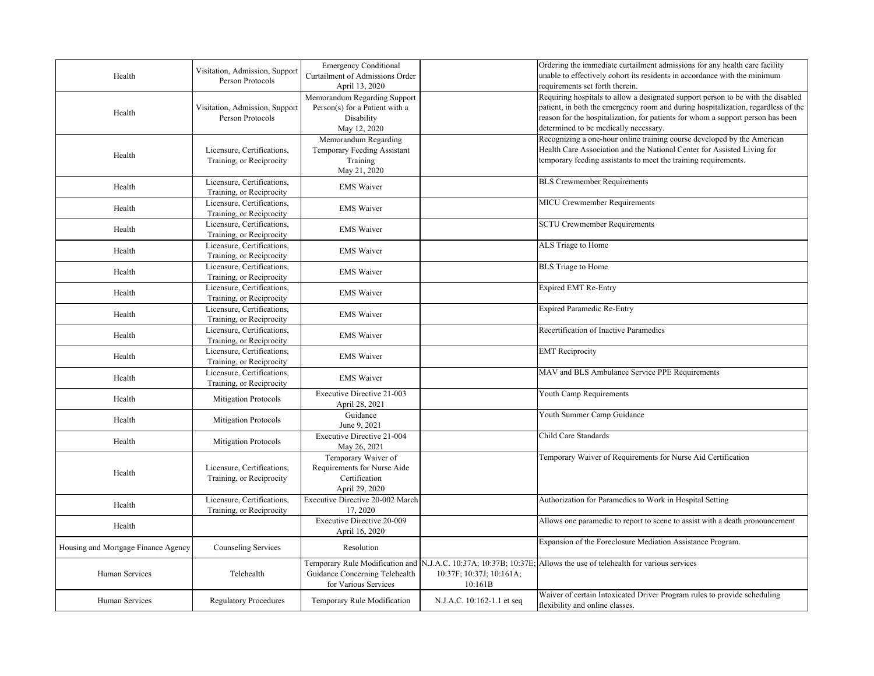| Health                              | Visitation, Admission, Support<br>Person Protocols     | <b>Emergency Conditional</b><br>Curtailment of Admissions Order<br>April 13, 2020            |                                     | Ordering the immediate curtailment admissions for any health care facility<br>unable to effectively cohort its residents in accordance with the minimum<br>requirements set forth therein.                                                                                                        |
|-------------------------------------|--------------------------------------------------------|----------------------------------------------------------------------------------------------|-------------------------------------|---------------------------------------------------------------------------------------------------------------------------------------------------------------------------------------------------------------------------------------------------------------------------------------------------|
| Health                              | Visitation, Admission, Support<br>Person Protocols     | Memorandum Regarding Support<br>Person(s) for a Patient with a<br>Disability<br>May 12, 2020 |                                     | Requiring hospitals to allow a designated support person to be with the disabled<br>patient, in both the emergency room and during hospitalization, regardless of the<br>reason for the hospitalization, for patients for whom a support person has been<br>determined to be medically necessary. |
| Health                              | Licensure, Certifications,<br>Training, or Reciprocity | Memorandum Regarding<br>Temporary Feeding Assistant<br>Training<br>May 21, 2020              |                                     | Recognizing a one-hour online training course developed by the American<br>Health Care Association and the National Center for Assisted Living for<br>temporary feeding assistants to meet the training requirements.                                                                             |
| Health                              | Licensure, Certifications,<br>Training, or Reciprocity | <b>EMS</b> Waiver                                                                            |                                     | <b>BLS</b> Crewmember Requirements                                                                                                                                                                                                                                                                |
| Health                              | Licensure, Certifications,<br>Training, or Reciprocity | <b>EMS</b> Waiver                                                                            |                                     | MICU Crewmember Requirements                                                                                                                                                                                                                                                                      |
| Health                              | Licensure, Certifications,<br>Training, or Reciprocity | <b>EMS</b> Waiver                                                                            |                                     | <b>SCTU Crewmember Requirements</b>                                                                                                                                                                                                                                                               |
| Health                              | Licensure, Certifications,<br>Training, or Reciprocity | <b>EMS</b> Waiver                                                                            |                                     | ALS Triage to Home                                                                                                                                                                                                                                                                                |
| Health                              | Licensure, Certifications,<br>Training, or Reciprocity | <b>EMS</b> Waiver                                                                            |                                     | <b>BLS</b> Triage to Home                                                                                                                                                                                                                                                                         |
| Health                              | Licensure, Certifications,<br>Training, or Reciprocity | <b>EMS</b> Waiver                                                                            |                                     | Expired EMT Re-Entry                                                                                                                                                                                                                                                                              |
| Health                              | Licensure, Certifications,<br>Training, or Reciprocity | <b>EMS</b> Waiver                                                                            |                                     | <b>Expired Paramedic Re-Entry</b>                                                                                                                                                                                                                                                                 |
| Health                              | Licensure, Certifications,<br>Training, or Reciprocity | <b>EMS</b> Waiver                                                                            |                                     | Recertification of Inactive Paramedics                                                                                                                                                                                                                                                            |
| Health                              | Licensure, Certifications,<br>Training, or Reciprocity | <b>EMS</b> Waiver                                                                            |                                     | <b>EMT</b> Reciprocity                                                                                                                                                                                                                                                                            |
| Health                              | Licensure, Certifications,<br>Training, or Reciprocity | <b>EMS</b> Waiver                                                                            |                                     | MAV and BLS Ambulance Service PPE Requirements                                                                                                                                                                                                                                                    |
| Health                              | <b>Mitigation Protocols</b>                            | Executive Directive 21-003<br>April 28, 2021                                                 |                                     | Youth Camp Requirements                                                                                                                                                                                                                                                                           |
| Health                              | <b>Mitigation Protocols</b>                            | Guidance<br>June 9, 2021                                                                     |                                     | Youth Summer Camp Guidance                                                                                                                                                                                                                                                                        |
| Health                              | <b>Mitigation Protocols</b>                            | Executive Directive 21-004<br>May 26, 2021                                                   |                                     | Child Care Standards                                                                                                                                                                                                                                                                              |
| Health                              | Licensure, Certifications,<br>Training, or Reciprocity | Temporary Waiver of<br>Requirements for Nurse Aide<br>Certification<br>April 29, 2020        |                                     | Temporary Waiver of Requirements for Nurse Aid Certification                                                                                                                                                                                                                                      |
| Health                              | Licensure, Certifications,<br>Training, or Reciprocity | Executive Directive 20-002 March<br>17, 2020                                                 |                                     | Authorization for Paramedics to Work in Hospital Setting                                                                                                                                                                                                                                          |
| Health                              |                                                        | <b>Executive Directive 20-009</b><br>April 16, 2020                                          |                                     | Allows one paramedic to report to scene to assist with a death pronouncement                                                                                                                                                                                                                      |
| Housing and Mortgage Finance Agency | Counseling Services                                    | Resolution                                                                                   |                                     | Expansion of the Foreclosure Mediation Assistance Program.                                                                                                                                                                                                                                        |
| Human Services                      | Telehealth                                             | Temporary Rule Modification and<br>Guidance Concerning Telehealth<br>for Various Services    | 10:37F; 10:37J; 10:161A;<br>10:161B | N.J.A.C. 10:37A; 10:37B; 10:37E; Allows the use of telehealth for various services                                                                                                                                                                                                                |
| Human Services                      | <b>Regulatory Procedures</b>                           | Temporary Rule Modification                                                                  | N.J.A.C. 10:162-1.1 et seq          | Waiver of certain Intoxicated Driver Program rules to provide scheduling<br>flexibility and online classes.                                                                                                                                                                                       |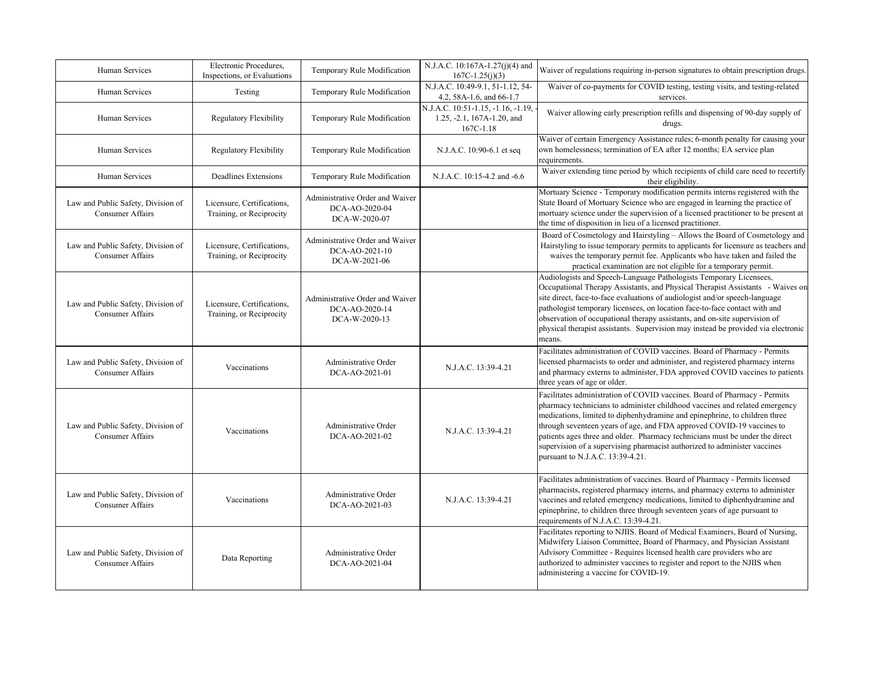| Human Services                                                | Electronic Procedures,<br>Inspections, or Evaluations  | Temporary Rule Modification                                        | N.J.A.C. 10:167A-1.27(j)(4) and<br>$167C-1.25(j)(3)$                          | Waiver of regulations requiring in-person signatures to obtain prescription drugs.                                                                                                                                                                                                                                                                                                                                                                                                                               |
|---------------------------------------------------------------|--------------------------------------------------------|--------------------------------------------------------------------|-------------------------------------------------------------------------------|------------------------------------------------------------------------------------------------------------------------------------------------------------------------------------------------------------------------------------------------------------------------------------------------------------------------------------------------------------------------------------------------------------------------------------------------------------------------------------------------------------------|
| Human Services                                                | Testing                                                | Temporary Rule Modification                                        | N.J.A.C. 10:49-9.1, 51-1.12, 54-<br>4.2, 58A-1.6, and 66-1.7                  | Waiver of co-payments for COVID testing, testing visits, and testing-related<br>services.                                                                                                                                                                                                                                                                                                                                                                                                                        |
| Human Services                                                | Regulatory Flexibility                                 | Temporary Rule Modification                                        | N.J.A.C. 10:51-1.15, -1.16, -1.19,<br>1.25, -2.1, 167A-1.20, and<br>167C-1.18 | Waiver allowing early prescription refills and dispensing of 90-day supply of<br>drugs.                                                                                                                                                                                                                                                                                                                                                                                                                          |
| Human Services                                                | Regulatory Flexibility                                 | Temporary Rule Modification                                        | N.J.A.C. 10:90-6.1 et seq                                                     | Waiver of certain Emergency Assistance rules; 6-month penalty for causing your<br>own homelessness; termination of EA after 12 months; EA service plan<br>requirements.                                                                                                                                                                                                                                                                                                                                          |
| Human Services                                                | Deadlines Extensions                                   | Temporary Rule Modification                                        | N.J.A.C. 10:15-4.2 and -6.6                                                   | Waiver extending time period by which recipients of child care need to recertify<br>their eligibility.                                                                                                                                                                                                                                                                                                                                                                                                           |
| Law and Public Safety, Division of<br><b>Consumer Affairs</b> | Licensure, Certifications,<br>Training, or Reciprocity | Administrative Order and Waiver<br>DCA-AO-2020-04<br>DCA-W-2020-07 |                                                                               | Mortuary Science - Temporary modification permits interns registered with the<br>State Board of Mortuary Science who are engaged in learning the practice of<br>mortuary science under the supervision of a licensed practitioner to be present at<br>the time of disposition in lieu of a licensed practitioner.                                                                                                                                                                                                |
| Law and Public Safety, Division of<br><b>Consumer Affairs</b> | Licensure, Certifications,<br>Training, or Reciprocity | Administrative Order and Waiver<br>DCA-AO-2021-10<br>DCA-W-2021-06 |                                                                               | Board of Cosmetology and Hairstyling - Allows the Board of Cosmetology and<br>Hairstyling to issue temporary permits to applicants for licensure as teachers and<br>waives the temporary permit fee. Applicants who have taken and failed the<br>practical examination are not eligible for a temporary permit.                                                                                                                                                                                                  |
| Law and Public Safety, Division of<br><b>Consumer Affairs</b> | Licensure, Certifications,<br>Training, or Reciprocity | Administrative Order and Waiver<br>DCA-AO-2020-14<br>DCA-W-2020-13 |                                                                               | Audiologists and Speech-Language Pathologists Temporary Licensees,<br>Occupational Therapy Assistants, and Physical Therapist Assistants - Waives or<br>site direct, face-to-face evaluations of audiologist and/or speech-language<br>pathologist temporary licensees, on location face-to-face contact with and<br>observation of occupational therapy assistants, and on-site supervision of<br>physical therapist assistants. Supervision may instead be provided via electronic<br>means.                   |
| Law and Public Safety, Division of<br><b>Consumer Affairs</b> | Vaccinations                                           | Administrative Order<br>DCA-AO-2021-01                             | N.J.A.C. 13:39-4.21                                                           | Facilitates administration of COVID vaccines. Board of Pharmacy - Permits<br>licensed pharmacists to order and administer, and registered pharmacy interns<br>and pharmacy externs to administer, FDA approved COVID vaccines to patients<br>three years of age or older.                                                                                                                                                                                                                                        |
| Law and Public Safety, Division of<br>Consumer Affairs        | Vaccinations                                           | Administrative Order<br>DCA-AO-2021-02                             | N.J.A.C. 13:39-4.21                                                           | Facilitates administration of COVID vaccines. Board of Pharmacy - Permits<br>pharmacy technicians to administer childhood vaccines and related emergency<br>medications, limited to diphenhydramine and epinephrine, to children three<br>through seventeen years of age, and FDA approved COVID-19 vaccines to<br>patients ages three and older. Pharmacy technicians must be under the direct<br>supervision of a supervising pharmacist authorized to administer vaccines<br>pursuant to N.J.A.C. 13:39-4.21. |
| Law and Public Safety, Division of<br>Consumer Affairs        | Vaccinations                                           | Administrative Order<br>DCA-AO-2021-03                             | N.J.A.C. 13:39-4.21                                                           | Facilitates administration of vaccines. Board of Pharmacy - Permits licensed<br>pharmacists, registered pharmacy interns, and pharmacy externs to administer<br>vaccines and related emergency medications, limited to diphenhydramine and<br>epinephrine, to children three through seventeen years of age pursuant to<br>requirements of N.J.A.C. 13:39-4.21.                                                                                                                                                  |
| Law and Public Safety, Division of<br><b>Consumer Affairs</b> | Data Reporting                                         | Administrative Order<br>DCA-AO-2021-04                             |                                                                               | Facilitates reporting to NJIIS. Board of Medical Examiners, Board of Nursing,<br>Midwifery Liaison Committee, Board of Pharmacy, and Physician Assistant<br>Advisory Committee - Requires licensed health care providers who are<br>authorized to administer vaccines to register and report to the NJIIS when<br>administering a vaccine for COVID-19.                                                                                                                                                          |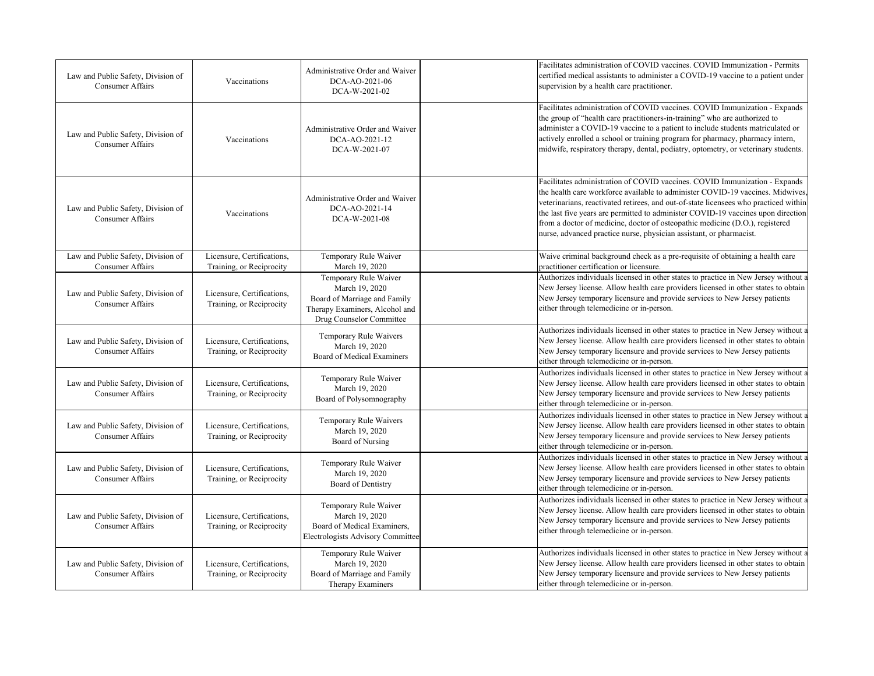| Law and Public Safety, Division of<br><b>Consumer Affairs</b> | Vaccinations                                           | Administrative Order and Waiver<br>DCA-AO-2021-06<br>DCA-W-2021-02                                                                    | Facilitates administration of COVID vaccines. COVID Immunization - Permits<br>certified medical assistants to administer a COVID-19 vaccine to a patient under<br>supervision by a health care practitioner.                                                                                                                                                                                                                                                                                   |
|---------------------------------------------------------------|--------------------------------------------------------|---------------------------------------------------------------------------------------------------------------------------------------|------------------------------------------------------------------------------------------------------------------------------------------------------------------------------------------------------------------------------------------------------------------------------------------------------------------------------------------------------------------------------------------------------------------------------------------------------------------------------------------------|
| Law and Public Safety, Division of<br><b>Consumer Affairs</b> | Vaccinations                                           | Administrative Order and Waiver<br>DCA-AO-2021-12<br>DCA-W-2021-07                                                                    | Facilitates administration of COVID vaccines. COVID Immunization - Expands<br>the group of "health care practitioners-in-training" who are authorized to<br>administer a COVID-19 vaccine to a patient to include students matriculated or<br>actively enrolled a school or training program for pharmacy, pharmacy intern,<br>midwife, respiratory therapy, dental, podiatry, optometry, or veterinary students.                                                                              |
| Law and Public Safety, Division of<br><b>Consumer Affairs</b> | Vaccinations                                           | Administrative Order and Waiver<br>DCA-AO-2021-14<br>DCA-W-2021-08                                                                    | Facilitates administration of COVID vaccines. COVID Immunization - Expands<br>the health care workforce available to administer COVID-19 vaccines. Midwives<br>veterinarians, reactivated retirees, and out-of-state licensees who practiced within<br>the last five years are permitted to administer COVID-19 vaccines upon direction<br>from a doctor of medicine, doctor of osteopathic medicine (D.O.), registered<br>nurse, advanced practice nurse, physician assistant, or pharmacist. |
| Law and Public Safety, Division of<br>Consumer Affairs        | Licensure, Certifications,<br>Training, or Reciprocity | Temporary Rule Waiver<br>March 19, 2020                                                                                               | Waive criminal background check as a pre-requisite of obtaining a health care<br>practitioner certification or licensure.                                                                                                                                                                                                                                                                                                                                                                      |
| Law and Public Safety, Division of<br><b>Consumer Affairs</b> | Licensure, Certifications,<br>Training, or Reciprocity | Temporary Rule Waiver<br>March 19, 2020<br>Board of Marriage and Family<br>Therapy Examiners, Alcohol and<br>Drug Counselor Committee | Authorizes individuals licensed in other states to practice in New Jersey without a<br>New Jersey license. Allow health care providers licensed in other states to obtain<br>New Jersey temporary licensure and provide services to New Jersey patients<br>either through telemedicine or in-person.                                                                                                                                                                                           |
| Law and Public Safety, Division of<br><b>Consumer Affairs</b> | Licensure, Certifications,<br>Training, or Reciprocity | Temporary Rule Waivers<br>March 19, 2020<br>Board of Medical Examiners                                                                | Authorizes individuals licensed in other states to practice in New Jersey without a<br>New Jersey license. Allow health care providers licensed in other states to obtain<br>New Jersey temporary licensure and provide services to New Jersey patients<br>either through telemedicine or in-person.                                                                                                                                                                                           |
| Law and Public Safety, Division of<br><b>Consumer Affairs</b> | Licensure, Certifications,<br>Training, or Reciprocity | Temporary Rule Waiver<br>March 19, 2020<br>Board of Polysomnography                                                                   | Authorizes individuals licensed in other states to practice in New Jersey without a<br>New Jersey license. Allow health care providers licensed in other states to obtain<br>New Jersey temporary licensure and provide services to New Jersey patients<br>either through telemedicine or in-person.                                                                                                                                                                                           |
| Law and Public Safety, Division of<br><b>Consumer Affairs</b> | Licensure, Certifications,<br>Training, or Reciprocity | Temporary Rule Waivers<br>March 19, 2020<br><b>Board of Nursing</b>                                                                   | Authorizes individuals licensed in other states to practice in New Jersey without a<br>New Jersey license. Allow health care providers licensed in other states to obtain<br>New Jersey temporary licensure and provide services to New Jersey patients<br>either through telemedicine or in-person.                                                                                                                                                                                           |
| Law and Public Safety, Division of<br>Consumer Affairs        | Licensure, Certifications,<br>Training, or Reciprocity | Temporary Rule Waiver<br>March 19, 2020<br>Board of Dentistry                                                                         | Authorizes individuals licensed in other states to practice in New Jersey without a<br>New Jersey license. Allow health care providers licensed in other states to obtain<br>New Jersey temporary licensure and provide services to New Jersey patients<br>either through telemedicine or in-person.                                                                                                                                                                                           |
| Law and Public Safety, Division of<br><b>Consumer Affairs</b> | Licensure, Certifications,<br>Training, or Reciprocity | Temporary Rule Waiver<br>March 19, 2020<br>Board of Medical Examiners,<br>Electrologists Advisory Committee                           | Authorizes individuals licensed in other states to practice in New Jersey without a<br>New Jersey license. Allow health care providers licensed in other states to obtain<br>New Jersey temporary licensure and provide services to New Jersey patients<br>either through telemedicine or in-person.                                                                                                                                                                                           |
| Law and Public Safety, Division of<br>Consumer Affairs        | Licensure, Certifications,<br>Training, or Reciprocity | Temporary Rule Waiver<br>March 19, 2020<br>Board of Marriage and Family<br>Therapy Examiners                                          | Authorizes individuals licensed in other states to practice in New Jersey without a<br>New Jersey license. Allow health care providers licensed in other states to obtain<br>New Jersey temporary licensure and provide services to New Jersey patients<br>either through telemedicine or in-person.                                                                                                                                                                                           |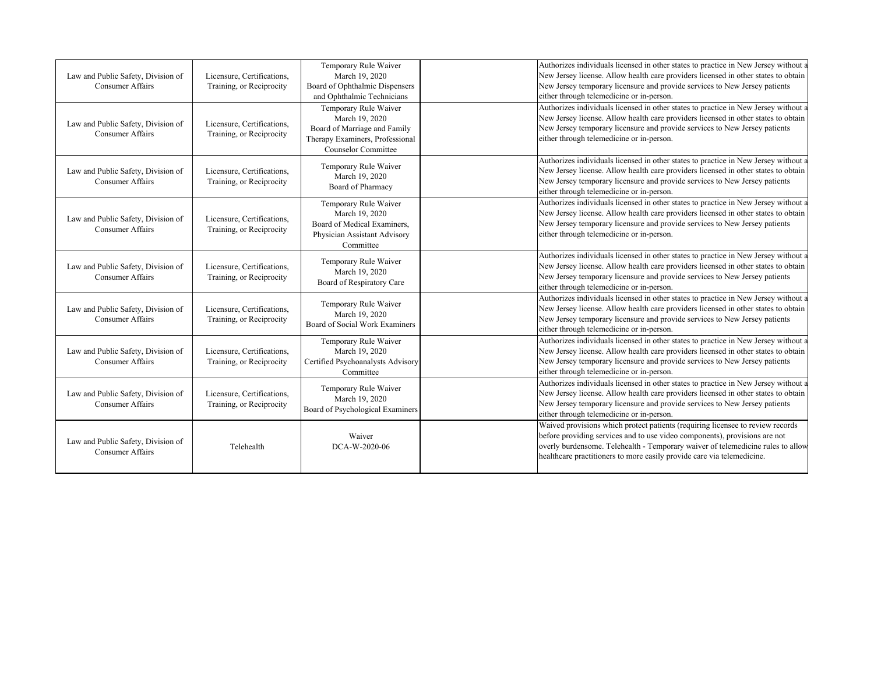| Law and Public Safety, Division of<br><b>Consumer Affairs</b> | Licensure, Certifications,<br>Training, or Reciprocity | Temporary Rule Waiver<br>March 19, 2020<br>Board of Ophthalmic Dispensers<br>and Ophthalmic Technicians                                  | Authorizes individuals licensed in other states to practice in New Jersey without a<br>New Jersey license. Allow health care providers licensed in other states to obtain<br>New Jersey temporary licensure and provide services to New Jersey patients<br>either through telemedicine or in-person.                      |
|---------------------------------------------------------------|--------------------------------------------------------|------------------------------------------------------------------------------------------------------------------------------------------|---------------------------------------------------------------------------------------------------------------------------------------------------------------------------------------------------------------------------------------------------------------------------------------------------------------------------|
| Law and Public Safety, Division of<br><b>Consumer Affairs</b> | Licensure, Certifications,<br>Training, or Reciprocity | Temporary Rule Waiver<br>March 19, 2020<br>Board of Marriage and Family<br>Therapy Examiners, Professional<br><b>Counselor Committee</b> | Authorizes individuals licensed in other states to practice in New Jersey without a<br>New Jersey license. Allow health care providers licensed in other states to obtain<br>New Jersey temporary licensure and provide services to New Jersey patients<br>either through telemedicine or in-person.                      |
| Law and Public Safety, Division of<br><b>Consumer Affairs</b> | Licensure, Certifications,<br>Training, or Reciprocity | Temporary Rule Waiver<br>March 19, 2020<br>Board of Pharmacy                                                                             | Authorizes individuals licensed in other states to practice in New Jersey without a<br>New Jersey license. Allow health care providers licensed in other states to obtain<br>New Jersey temporary licensure and provide services to New Jersey patients<br>either through telemedicine or in-person.                      |
| Law and Public Safety, Division of<br>Consumer Affairs        | Licensure, Certifications,<br>Training, or Reciprocity | Temporary Rule Waiver<br>March 19, 2020<br>Board of Medical Examiners.<br>Physician Assistant Advisory<br>Committee                      | Authorizes individuals licensed in other states to practice in New Jersey without a<br>New Jersey license. Allow health care providers licensed in other states to obtain<br>New Jersey temporary licensure and provide services to New Jersey patients<br>either through telemedicine or in-person.                      |
| Law and Public Safety, Division of<br>Consumer Affairs        | Licensure, Certifications,<br>Training, or Reciprocity | Temporary Rule Waiver<br>March 19, 2020<br>Board of Respiratory Care                                                                     | Authorizes individuals licensed in other states to practice in New Jersey without a<br>New Jersey license. Allow health care providers licensed in other states to obtain<br>New Jersey temporary licensure and provide services to New Jersey patients<br>either through telemedicine or in-person.                      |
| Law and Public Safety, Division of<br>Consumer Affairs        | Licensure, Certifications,<br>Training, or Reciprocity | Temporary Rule Waiver<br>March 19, 2020<br>Board of Social Work Examiners                                                                | Authorizes individuals licensed in other states to practice in New Jersey without a<br>New Jersey license. Allow health care providers licensed in other states to obtain<br>New Jersey temporary licensure and provide services to New Jersey patients<br>either through telemedicine or in-person.                      |
| Law and Public Safety, Division of<br><b>Consumer Affairs</b> | Licensure, Certifications,<br>Training, or Reciprocity | Temporary Rule Waiver<br>March 19, 2020<br>Certified Psychoanalysts Advisory<br>Committee                                                | Authorizes individuals licensed in other states to practice in New Jersey without a<br>New Jersey license. Allow health care providers licensed in other states to obtain<br>New Jersey temporary licensure and provide services to New Jersey patients<br>either through telemedicine or in-person.                      |
| Law and Public Safety, Division of<br><b>Consumer Affairs</b> | Licensure, Certifications,<br>Training, or Reciprocity | Temporary Rule Waiver<br>March 19, 2020<br>Board of Psychological Examiners                                                              | Authorizes individuals licensed in other states to practice in New Jersey without a<br>New Jersey license. Allow health care providers licensed in other states to obtain<br>New Jersey temporary licensure and provide services to New Jersey patients<br>either through telemedicine or in-person.                      |
| Law and Public Safety, Division of<br><b>Consumer Affairs</b> | Telehealth                                             | Waiver<br>DCA-W-2020-06                                                                                                                  | Waived provisions which protect patients (requiring licensee to review records<br>before providing services and to use video components), provisions are not<br>overly burdensome. Telehealth - Temporary waiver of telemedicine rules to allow<br>healthcare practitioners to more easily provide care via telemedicine. |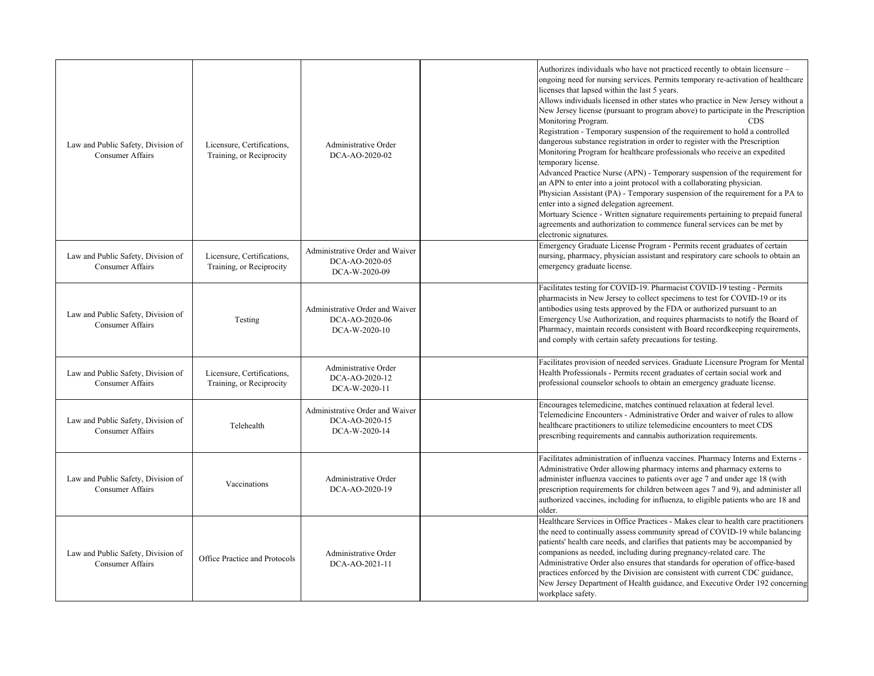|                                                               |                                                        |                                                                    | Authorizes individuals who have not practiced recently to obtain licensure -                                                                                                                                                                                                                                                                                                                                                                                                                                                                                                                                                                                                                                                                                                                                                                                                                                                                                                                                                                                                                   |
|---------------------------------------------------------------|--------------------------------------------------------|--------------------------------------------------------------------|------------------------------------------------------------------------------------------------------------------------------------------------------------------------------------------------------------------------------------------------------------------------------------------------------------------------------------------------------------------------------------------------------------------------------------------------------------------------------------------------------------------------------------------------------------------------------------------------------------------------------------------------------------------------------------------------------------------------------------------------------------------------------------------------------------------------------------------------------------------------------------------------------------------------------------------------------------------------------------------------------------------------------------------------------------------------------------------------|
| Law and Public Safety, Division of<br><b>Consumer Affairs</b> | Licensure, Certifications,<br>Training, or Reciprocity | Administrative Order<br>DCA-AO-2020-02                             | ongoing need for nursing services. Permits temporary re-activation of healthcare<br>licenses that lapsed within the last 5 years.<br>Allows individuals licensed in other states who practice in New Jersey without a<br>New Jersey license (pursuant to program above) to participate in the Prescription<br>Monitoring Program.<br><b>CDS</b><br>Registration - Temporary suspension of the requirement to hold a controlled<br>dangerous substance registration in order to register with the Prescription<br>Monitoring Program for healthcare professionals who receive an expedited<br>temporary license.<br>Advanced Practice Nurse (APN) - Temporary suspension of the requirement for<br>an APN to enter into a joint protocol with a collaborating physician.<br>Physician Assistant (PA) - Temporary suspension of the requirement for a PA to<br>enter into a signed delegation agreement.<br>Mortuary Science - Written signature requirements pertaining to prepaid funeral<br>agreements and authorization to commence funeral services can be met by<br>electronic signatures. |
| Law and Public Safety, Division of<br>Consumer Affairs        | Licensure, Certifications,<br>Training, or Reciprocity | Administrative Order and Waiver<br>DCA-AO-2020-05<br>DCA-W-2020-09 | Emergency Graduate License Program - Permits recent graduates of certain<br>nursing, pharmacy, physician assistant and respiratory care schools to obtain an<br>emergency graduate license.                                                                                                                                                                                                                                                                                                                                                                                                                                                                                                                                                                                                                                                                                                                                                                                                                                                                                                    |
| Law and Public Safety, Division of<br>Consumer Affairs        | Testing                                                | Administrative Order and Waiver<br>DCA-AO-2020-06<br>DCA-W-2020-10 | Facilitates testing for COVID-19. Pharmacist COVID-19 testing - Permits<br>pharmacists in New Jersey to collect specimens to test for COVID-19 or its<br>antibodies using tests approved by the FDA or authorized pursuant to an<br>Emergency Use Authorization, and requires pharmacists to notify the Board of<br>Pharmacy, maintain records consistent with Board recordkeeping requirements,<br>and comply with certain safety precautions for testing.                                                                                                                                                                                                                                                                                                                                                                                                                                                                                                                                                                                                                                    |
| Law and Public Safety, Division of<br>Consumer Affairs        | Licensure, Certifications,<br>Training, or Reciprocity | Administrative Order<br>DCA-AO-2020-12<br>DCA-W-2020-11            | Facilitates provision of needed services. Graduate Licensure Program for Mental<br>Health Professionals - Permits recent graduates of certain social work and<br>professional counselor schools to obtain an emergency graduate license.                                                                                                                                                                                                                                                                                                                                                                                                                                                                                                                                                                                                                                                                                                                                                                                                                                                       |
| Law and Public Safety, Division of<br>Consumer Affairs        | Telehealth                                             | Administrative Order and Waiver<br>DCA-AO-2020-15<br>DCA-W-2020-14 | Encourages telemedicine, matches continued relaxation at federal level.<br>Telemedicine Encounters - Administrative Order and waiver of rules to allow<br>healthcare practitioners to utilize telemedicine encounters to meet CDS<br>prescribing requirements and cannabis authorization requirements.                                                                                                                                                                                                                                                                                                                                                                                                                                                                                                                                                                                                                                                                                                                                                                                         |
| Law and Public Safety, Division of<br><b>Consumer Affairs</b> | Vaccinations                                           | Administrative Order<br>DCA-AO-2020-19                             | Facilitates administration of influenza vaccines. Pharmacy Interns and Externs -<br>Administrative Order allowing pharmacy interns and pharmacy externs to<br>administer influenza vaccines to patients over age 7 and under age 18 (with<br>prescription requirements for children between ages 7 and 9), and administer all<br>authorized vaccines, including for influenza, to eligible patients who are 18 and<br>older.                                                                                                                                                                                                                                                                                                                                                                                                                                                                                                                                                                                                                                                                   |
| Law and Public Safety, Division of<br>Consumer Affairs        | Office Practice and Protocols                          | Administrative Order<br>DCA-AO-2021-11                             | Healthcare Services in Office Practices - Makes clear to health care practitioners<br>the need to continually assess community spread of COVID-19 while balancing<br>patients' health care needs, and clarifies that patients may be accompanied by<br>companions as needed, including during pregnancy-related care. The<br>Administrative Order also ensures that standards for operation of office-based<br>practices enforced by the Division are consistent with current CDC guidance,<br>New Jersey Department of Health guidance, and Executive Order 192 concerning<br>workplace safety.                                                                                                                                                                                                                                                                                                                                                                                                                                                                                               |